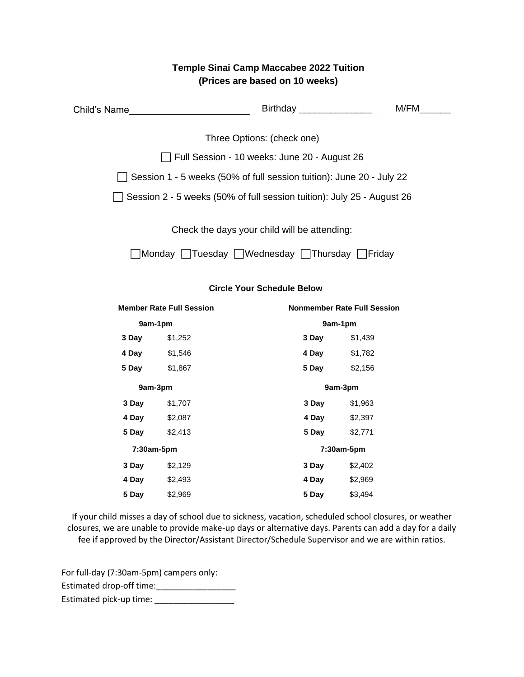| (Prices are based on 10 weeks)                                         |                                              |                                    |
|------------------------------------------------------------------------|----------------------------------------------|------------------------------------|
| Child's Name                                                           | Birthday _________________                   | M/FM                               |
|                                                                        | Three Options: (check one)                   |                                    |
|                                                                        | Full Session - 10 weeks: June 20 - August 26 |                                    |
| Session 1 - 5 weeks (50% of full session tuition): June 20 - July 22   |                                              |                                    |
| Session 2 - 5 weeks (50% of full session tuition): July 25 - August 26 |                                              |                                    |
|                                                                        | Check the days your child will be attending: |                                    |
| Monday Tuesday Wednesday Thursday Friday                               |                                              |                                    |
| <b>Circle Your Schedule Below</b>                                      |                                              |                                    |
| <b>Member Rate Full Session</b>                                        |                                              | <b>Nonmember Rate Full Session</b> |

**Temple Sinai Camp Maccabee 2022 Tuition**

| 9am-1pm |            | 9am-1pm |         |            |  |
|---------|------------|---------|---------|------------|--|
|         | 3 Day      | \$1,252 | 3 Day   | \$1,439    |  |
|         | 4 Day      | \$1,546 | 4 Day   | \$1,782    |  |
|         | 5 Day      | \$1,867 | 5 Day   | \$2,156    |  |
|         | 9am-3pm    |         | 9am-3pm |            |  |
|         | 3 Day      | \$1,707 | 3 Day   | \$1,963    |  |
|         | 4 Day      | \$2,087 | 4 Day   | \$2,397    |  |
|         | 5 Day      | \$2,413 | 5 Day   | \$2,771    |  |
|         | 7:30am-5pm |         |         | 7:30am-5pm |  |
|         | 3 Day      | \$2,129 | 3 Day   | \$2,402    |  |
|         | 4 Day      | \$2,493 | 4 Day   | \$2,969    |  |
|         | 5 Day      | \$2,969 | 5 Day   | \$3,494    |  |

If your child misses a day of school due to sickness, vacation, scheduled school closures, or weather closures, we are unable to provide make-up days or alternative days. Parents can add a day for a daily fee if approved by the Director/Assistant Director/Schedule Supervisor and we are within ratios.

For full-day (7:30am-5pm) campers only: Estimated drop-off time:\_\_\_\_\_\_\_\_\_\_\_\_\_\_\_\_\_ Estimated pick-up time: \_\_\_\_\_\_\_\_\_\_\_\_\_\_\_\_\_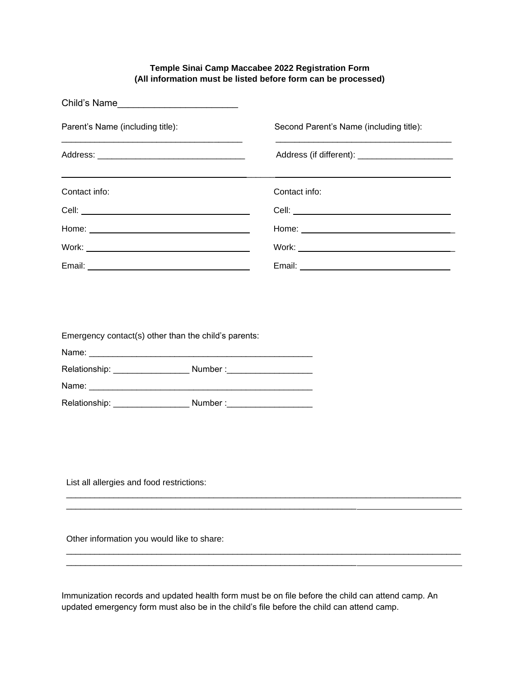## **Temple Sinai Camp Maccabee 2022 Registration Form (All information must be listed before form can be processed)**

| Child's Name__________________________                                                                                                                                                                                                                                         |                                         |
|--------------------------------------------------------------------------------------------------------------------------------------------------------------------------------------------------------------------------------------------------------------------------------|-----------------------------------------|
| Parent's Name (including title):                                                                                                                                                                                                                                               | Second Parent's Name (including title): |
|                                                                                                                                                                                                                                                                                |                                         |
| Contact info:                                                                                                                                                                                                                                                                  | Contact info:                           |
|                                                                                                                                                                                                                                                                                |                                         |
|                                                                                                                                                                                                                                                                                |                                         |
| $\text{Work:}\underbrace{\hspace{0.5cm}}_{\text{new}}\hspace{0.5cm}\underbrace{\hspace{0.5cm}}_{\text{new}}\hspace{0.5cm}\underbrace{\hspace{0.5cm}}_{\text{new}}\hspace{0.5cm}\underbrace{\hspace{0.5cm}}_{\text{new}}\hspace{0.5cm}\underbrace{\hspace{0.5cm}}_{\text{new}}$ |                                         |
|                                                                                                                                                                                                                                                                                |                                         |
|                                                                                                                                                                                                                                                                                |                                         |

Emergency contact(s) other than the child's parents:

Name: \_\_\_\_\_\_\_\_\_\_\_\_\_\_\_\_\_\_\_\_\_\_\_\_\_\_\_\_\_\_\_\_\_\_\_\_\_\_\_\_\_\_\_\_\_\_\_

Relationship: \_\_\_\_\_\_\_\_\_\_\_\_\_\_\_\_\_\_\_\_\_\_\_\_ Number :\_\_\_\_\_\_\_\_\_\_\_\_\_\_\_\_\_\_\_\_\_\_\_\_\_\_\_\_\_\_\_\_\_

Name: \_\_\_\_\_\_\_\_\_\_\_\_\_\_\_\_\_\_\_\_\_\_\_\_\_\_\_\_\_\_\_\_\_\_\_\_\_\_\_\_\_\_\_\_\_\_\_

Relationship: \_\_\_\_\_\_\_\_\_\_\_\_\_\_\_\_\_\_\_\_\_\_ Number :\_\_\_\_\_\_\_\_\_\_\_\_\_\_\_\_\_\_\_\_\_\_\_\_\_\_\_\_\_\_\_\_\_\_\_

\_\_\_\_\_\_\_\_\_\_\_\_\_\_\_\_\_\_\_\_\_\_\_\_\_\_\_\_\_\_\_\_\_\_\_\_\_\_\_\_\_\_\_\_\_\_\_\_\_\_\_\_\_\_\_\_\_\_\_\_\_

\_\_\_\_\_\_\_\_\_\_\_\_\_\_\_\_\_\_\_\_\_\_\_\_\_\_\_\_\_\_\_\_\_\_\_\_\_\_\_\_\_\_\_\_\_\_\_\_\_\_\_\_\_\_\_\_\_\_\_\_\_

List all allergies and food restrictions:

Other information you would like to share:

Immunization records and updated health form must be on file before the child can attend camp. An updated emergency form must also be in the child's file before the child can attend camp.

\_\_\_\_\_\_\_\_\_\_\_\_\_\_\_\_\_\_\_\_\_\_\_\_\_\_\_\_\_\_\_\_\_\_\_\_\_\_\_\_\_\_\_\_\_\_\_\_\_\_\_\_\_\_\_\_\_\_\_\_\_\_\_\_\_\_\_\_\_\_\_\_\_\_\_\_\_\_\_\_\_\_\_

\_\_\_\_\_\_\_\_\_\_\_\_\_\_\_\_\_\_\_\_\_\_\_\_\_\_\_\_\_\_\_\_\_\_\_\_\_\_\_\_\_\_\_\_\_\_\_\_\_\_\_\_\_\_\_\_\_\_\_\_\_\_\_\_\_\_\_\_\_\_\_\_\_\_\_\_\_\_\_\_\_\_\_